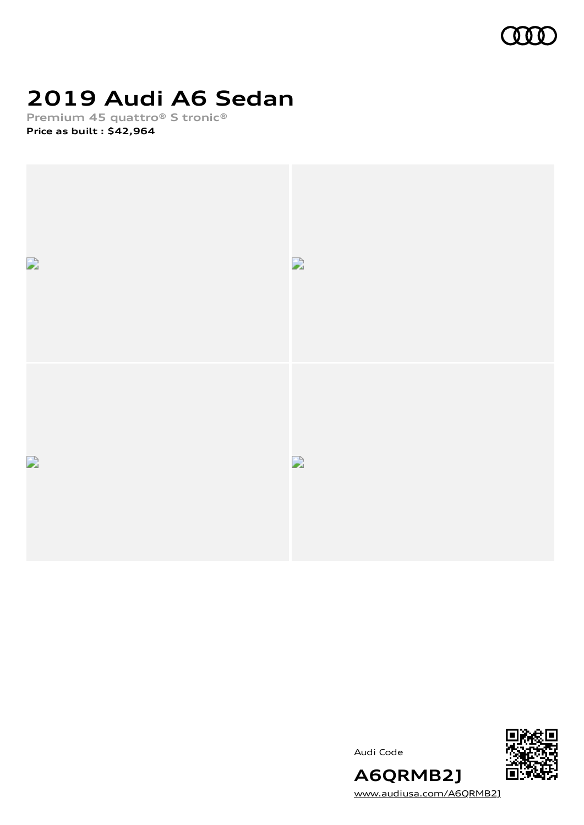

## **2019 Audi A6 Sedan**

**Premium 45 quattro® S tronic® Price as built [:](#page-8-0) \$42,964**



Audi Code



[www.audiusa.com/A6QRMB2J](https://www.audiusa.com/A6QRMB2J)

**A6QRMB2J**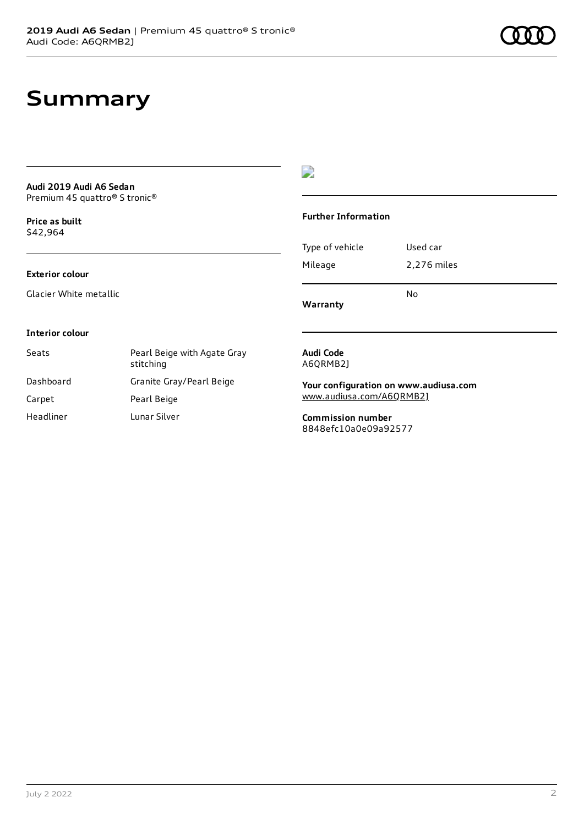### **Summary**

| Audi 2019 Audi A6 Sedan                               |
|-------------------------------------------------------|
| Premium 45 quattro <sup>®</sup> S tronic <sup>®</sup> |

**Price as buil[t](#page-8-0)** \$42,964

 $\overline{\phantom{a}}$ 

#### **Further Information**

|                 | N٥          |
|-----------------|-------------|
| Mileage         | 2,276 miles |
| Type of vehicle | Used car    |

**Warranty**

#### **Interior colour**

**Exterior colour**

Glacier White metallic

| Seats     | Pearl Beige with Agate Gray<br>stitching |
|-----------|------------------------------------------|
| Dashboard | Granite Gray/Pearl Beige                 |
| Carpet    | Pearl Beige                              |
| Headliner | Lunar Silver                             |

#### **Audi Code** A6QRMB2J

**Your configuration on www.audiusa.com** [www.audiusa.com/A6QRMB2J](https://www.audiusa.com/A6QRMB2J)

**Commission number** 8848efc10a0e09a92577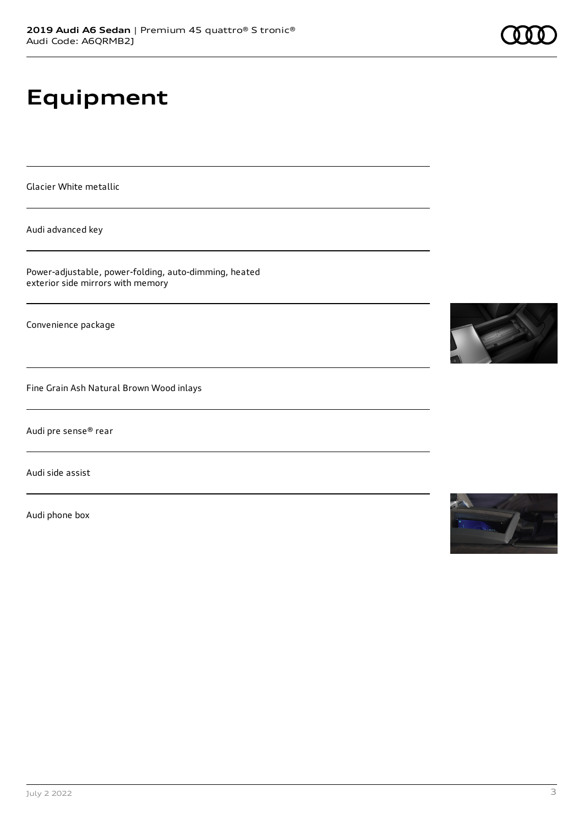# **Equipment**

Glacier White metallic

Audi advanced key

Power-adjustable, power-folding, auto-dimming, heated exterior side mirrors with memory

Convenience package

Fine Grain Ash Natural Brown Wood inlays

Audi pre sense® rear

Audi side assist

Audi phone box



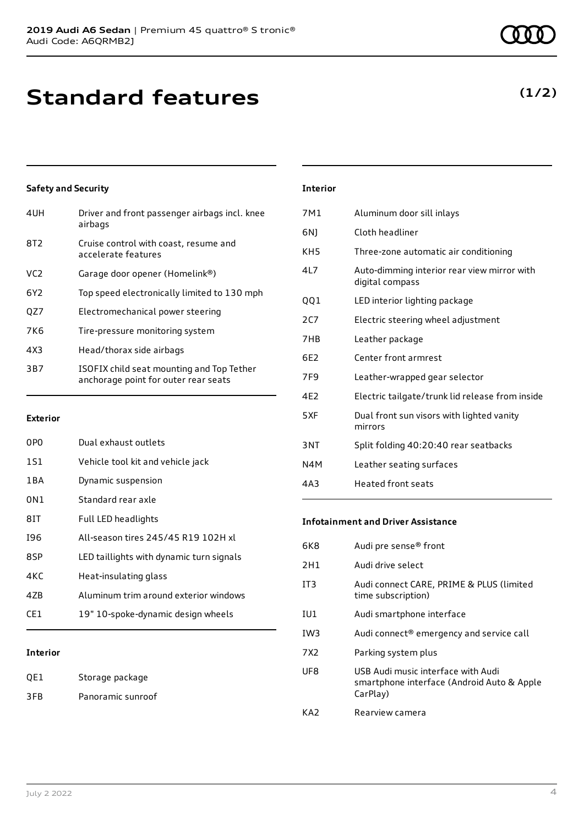### **Standard features**

### **Safety and Security**

| 4UH             | Driver and front passenger airbags incl. knee<br>airbags                          |
|-----------------|-----------------------------------------------------------------------------------|
| 8T <sub>2</sub> | Cruise control with coast, resume and<br>accelerate features                      |
| VC <sub>2</sub> | Garage door opener (Homelink®)                                                    |
| 6Y <sub>2</sub> | Top speed electronically limited to 130 mph                                       |
| QZ7             | Electromechanical power steering                                                  |
| 7K <sub>6</sub> | Tire-pressure monitoring system                                                   |
| 4X3             | Head/thorax side airbags                                                          |
| 3B7             | ISOFIX child seat mounting and Top Tether<br>anchorage point for outer rear seats |
|                 |                                                                                   |

#### **Exterior**

| 0PO   | Dual exhaust outlets                     |
|-------|------------------------------------------|
| 1S1   | Vehicle tool kit and vehicle jack        |
| 1 B A | Dynamic suspension                       |
| 0N1   | Standard rear axle                       |
| 81T   | Full LED headlights                      |
| 196   | All-season tires 245/45 R19 102H xl      |
| 8SP   | LED taillights with dynamic turn signals |
| 4KC   | Heat-insulating glass                    |
| 47B   | Aluminum trim around exterior windows    |
| CF1.  | 19" 10-spoke-dynamic design wheels       |
|       |                                          |

#### **Interior**

| QE1 | Storage package   |
|-----|-------------------|
| 3FB | Panoramic sunroof |

#### **Interior**

| 7M1             | Aluminum door sill inlays                                      |
|-----------------|----------------------------------------------------------------|
| 6N)             | Cloth headliner                                                |
| KH <sub>5</sub> | Three-zone automatic air conditioning                          |
| 41 7            | Auto-dimming interior rear view mirror with<br>digital compass |
| QQ1             | LED interior lighting package                                  |
| 2C              | Electric steering wheel adjustment                             |
| 7HB             | Leather package                                                |
| 6F2             | Center front armrest                                           |
| 7F <sub>9</sub> | Leather-wrapped gear selector                                  |
| 4F <sub>2</sub> | Electric tailgate/trunk lid release from inside                |
| 5XF             | Dual front sun visors with lighted vanity<br>mirrors           |
| 3NT             | Split folding 40:20:40 rear seatbacks                          |
| N4M             | Leather seating surfaces                                       |
| 4A3             | <b>Heated front seats</b>                                      |
|                 |                                                                |

#### **Infotainment and Driver Assistance**

| 6K8             | Audi pre sense <sup>®</sup> front                                                            |
|-----------------|----------------------------------------------------------------------------------------------|
| 2H1             | Audi drive select                                                                            |
| IT3             | Audi connect CARE, PRIME & PLUS (limited<br>time subscription)                               |
| IU1             | Audi smartphone interface                                                                    |
| IW <sub>3</sub> | Audi connect <sup>®</sup> emergency and service call                                         |
| 7X2             | Parking system plus                                                                          |
| UF8             | USB Audi music interface with Audi<br>smartphone interface (Android Auto & Apple<br>CarPlay) |
| KA7             | Rearview camera                                                                              |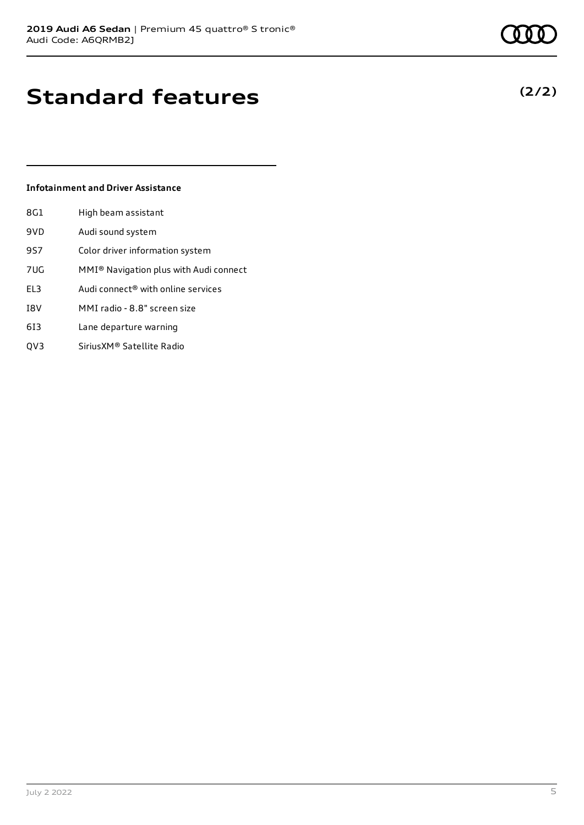### **Standard features**

#### **Infotainment and Driver Assistance**

| 8G1 | High beam assistant                                |
|-----|----------------------------------------------------|
| 9VD | Audi sound system                                  |
| 9S7 | Color driver information system                    |
| 7UG | MMI <sup>®</sup> Navigation plus with Audi connect |
| EL3 | Audi connect® with online services                 |
| I8V | MMI radio - 8.8" screen size                       |
| 613 | Lane departure warning                             |
| OV3 | Sirius XM® Satellite Radio                         |

July 2 2022 5

### **(2/2)**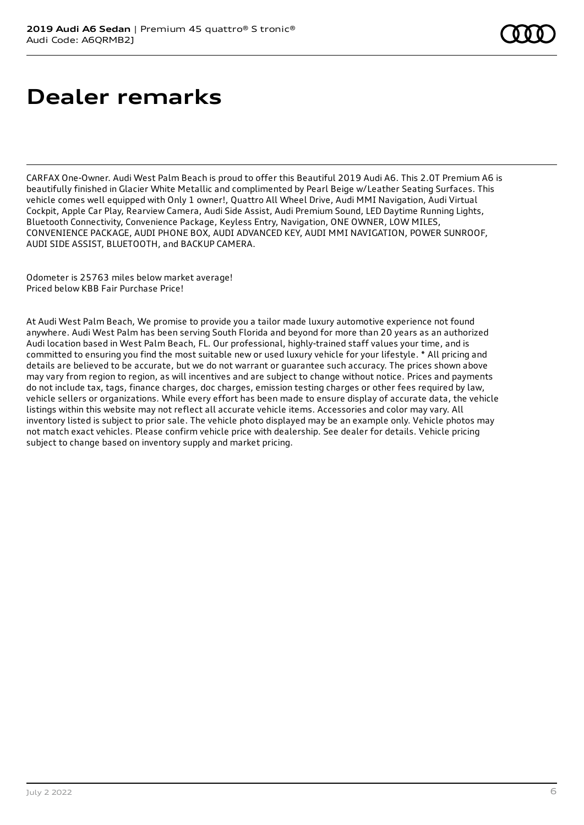### **Dealer remarks**

CARFAX One-Owner. Audi West Palm Beach is proud to offer this Beautiful 2019 Audi A6. This 2.0T Premium A6 is beautifully finished in Glacier White Metallic and complimented by Pearl Beige w/Leather Seating Surfaces. This vehicle comes well equipped with Only 1 owner!, Quattro All Wheel Drive, Audi MMI Navigation, Audi Virtual Cockpit, Apple Car Play, Rearview Camera, Audi Side Assist, Audi Premium Sound, LED Daytime Running Lights, Bluetooth Connectivity, Convenience Package, Keyless Entry, Navigation, ONE OWNER, LOW MILES, CONVENIENCE PACKAGE, AUDI PHONE BOX, AUDI ADVANCED KEY, AUDI MMI NAVIGATION, POWER SUNROOF, AUDI SIDE ASSIST, BLUETOOTH, and BACKUP CAMERA.

Odometer is 25763 miles below market average! Priced below KBB Fair Purchase Price!

At Audi West Palm Beach, We promise to provide you a tailor made luxury automotive experience not found anywhere. Audi West Palm has been serving South Florida and beyond for more than 20 years as an authorized Audi location based in West Palm Beach, FL. Our professional, highly-trained staff values your time, and is committed to ensuring you find the most suitable new or used luxury vehicle for your lifestyle. \* All pricing and details are believed to be accurate, but we do not warrant or guarantee such accuracy. The prices shown above may vary from region to region, as will incentives and are subject to change without notice. Prices and payments do not include tax, tags, finance charges, doc charges, emission testing charges or other fees required by law, vehicle sellers or organizations. While every effort has been made to ensure display of accurate data, the vehicle listings within this website may not reflect all accurate vehicle items. Accessories and color may vary. All inventory listed is subject to prior sale. The vehicle photo displayed may be an example only. Vehicle photos may not match exact vehicles. Please confirm vehicle price with dealership. See dealer for details. Vehicle pricing subject to change based on inventory supply and market pricing.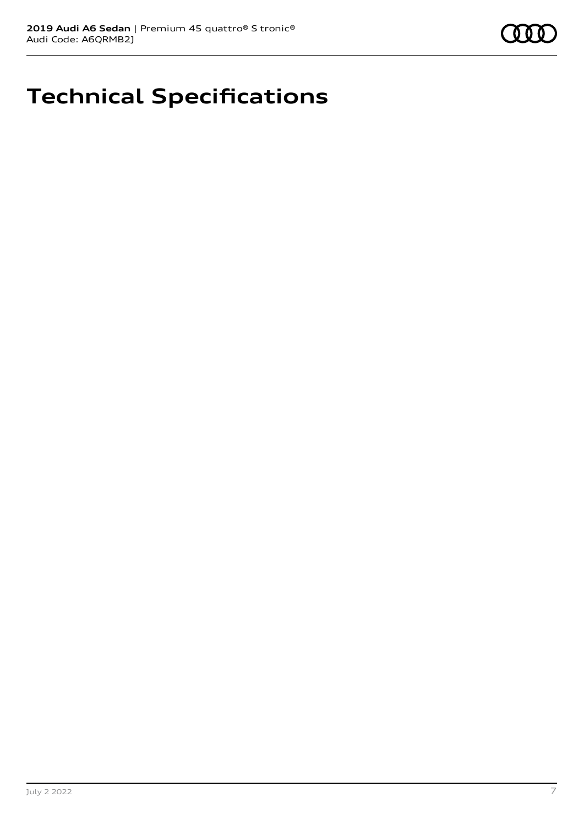### **Technical Specifications**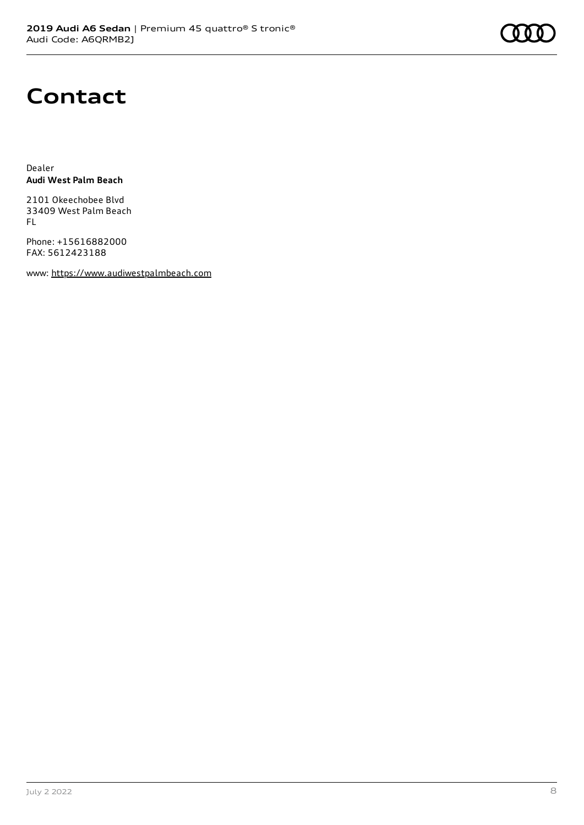### **Contact**

Dealer **Audi West Palm Beach**

2101 Okeechobee Blvd 33409 West Palm Beach FL

Phone: +15616882000 FAX: 5612423188

www: [https://www.audiwestpalmbeach.com](https://www.audiwestpalmbeach.com/)